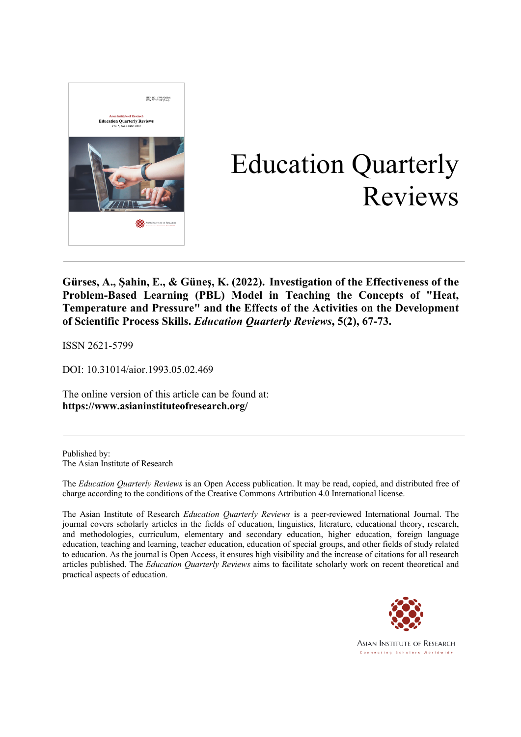

# Education Quarterly Reviews

**Gürses, A., Şahin, E., & Güneş, K. (2022). Investigation of the Effectiveness of the Problem-Based Learning (PBL) Model in Teaching the Concepts of "Heat, Temperature and Pressure" and the Effects of the Activities on the Development of Scientific Process Skills.** *Education Quarterly Reviews***, 5(2), 67-73.**

ISSN 2621-5799

DOI: 10.31014/aior.1993.05.02.469

The online version of this article can be found at: **https://www.asianinstituteofresearch.org/**

Published by: The Asian Institute of Research

The *Education Quarterly Reviews* is an Open Access publication. It may be read, copied, and distributed free of charge according to the conditions of the Creative Commons Attribution 4.0 International license.

The Asian Institute of Research *Education Quarterly Reviews* is a peer-reviewed International Journal. The journal covers scholarly articles in the fields of education, linguistics, literature, educational theory, research, and methodologies, curriculum, elementary and secondary education, higher education, foreign language education, teaching and learning, teacher education, education of special groups, and other fields of study related to education. As the journal is Open Access, it ensures high visibility and the increase of citations for all research articles published. The *Education Quarterly Reviews* aims to facilitate scholarly work on recent theoretical and practical aspects of education.



**ASIAN INSTITUTE OF RESEARCH** Connecting Scholars Worldwide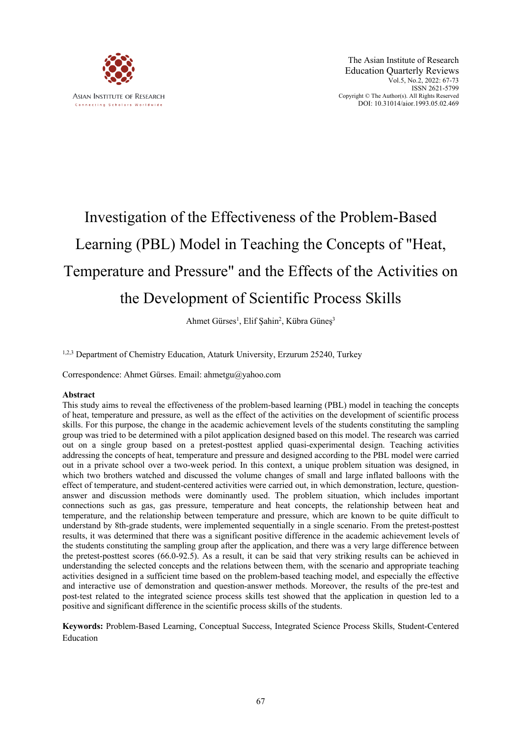

# Investigation of the Effectiveness of the Problem-Based Learning (PBL) Model in Teaching the Concepts of "Heat, Temperature and Pressure" and the Effects of the Activities on the Development of Scientific Process Skills

Ahmet Gürses<sup>1</sup>, Elif Şahin<sup>2</sup>, Kübra Güneş<sup>3</sup>

1,2,3 Department of Chemistry Education, Ataturk University, Erzurum 25240, Turkey

Correspondence: Ahmet Gürses. Email: ahmetgu@yahoo.com

# **Abstract**

This study aims to reveal the effectiveness of the problem-based learning (PBL) model in teaching the concepts of heat, temperature and pressure, as well as the effect of the activities on the development of scientific process skills. For this purpose, the change in the academic achievement levels of the students constituting the sampling group was tried to be determined with a pilot application designed based on this model. The research was carried out on a single group based on a pretest-posttest applied quasi-experimental design. Teaching activities addressing the concepts of heat, temperature and pressure and designed according to the PBL model were carried out in a private school over a two-week period. In this context, a unique problem situation was designed, in which two brothers watched and discussed the volume changes of small and large inflated balloons with the effect of temperature, and student-centered activities were carried out, in which demonstration, lecture, questionanswer and discussion methods were dominantly used. The problem situation, which includes important connections such as gas, gas pressure, temperature and heat concepts, the relationship between heat and temperature, and the relationship between temperature and pressure, which are known to be quite difficult to understand by 8th-grade students, were implemented sequentially in a single scenario. From the pretest-posttest results, it was determined that there was a significant positive difference in the academic achievement levels of the students constituting the sampling group after the application, and there was a very large difference between the pretest-posttest scores (66.0-92.5). As a result, it can be said that very striking results can be achieved in understanding the selected concepts and the relations between them, with the scenario and appropriate teaching activities designed in a sufficient time based on the problem-based teaching model, and especially the effective and interactive use of demonstration and question-answer methods. Moreover, the results of the pre-test and post-test related to the integrated science process skills test showed that the application in question led to a positive and significant difference in the scientific process skills of the students.

**Keywords:** Problem-Based Learning, Conceptual Success, Integrated Science Process Skills, Student-Centered Education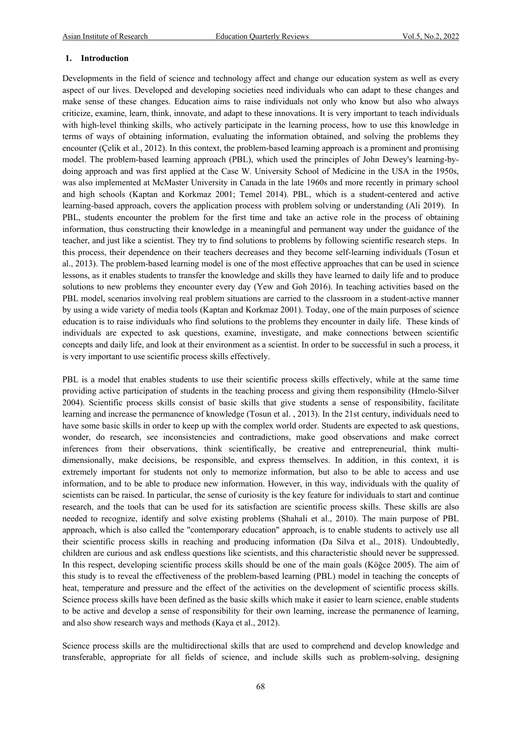#### **1. Introduction**

Developments in the field of science and technology affect and change our education system as well as every aspect of our lives. Developed and developing societies need individuals who can adapt to these changes and make sense of these changes. Education aims to raise individuals not only who know but also who always criticize, examine, learn, think, innovate, and adapt to these innovations. It is very important to teach individuals with high-level thinking skills, who actively participate in the learning process, how to use this knowledge in terms of ways of obtaining information, evaluating the information obtained, and solving the problems they encounter (Çelik et al., 2012). In this context, the problem-based learning approach is a prominent and promising model. The problem-based learning approach (PBL), which used the principles of John Dewey's learning-bydoing approach and was first applied at the Case W. University School of Medicine in the USA in the 1950s, was also implemented at McMaster University in Canada in the late 1960s and more recently in primary school and high schools (Kaptan and Korkmaz 2001; Temel 2014). PBL, which is a student-centered and active learning-based approach, covers the application process with problem solving or understanding (Ali 2019). In PBL, students encounter the problem for the first time and take an active role in the process of obtaining information, thus constructing their knowledge in a meaningful and permanent way under the guidance of the teacher, and just like a scientist. They try to find solutions to problems by following scientific research steps. In this process, their dependence on their teachers decreases and they become self-learning individuals (Tosun et al., 2013). The problem-based learning model is one of the most effective approaches that can be used in science lessons, as it enables students to transfer the knowledge and skills they have learned to daily life and to produce solutions to new problems they encounter every day (Yew and Goh 2016). In teaching activities based on the PBL model, scenarios involving real problem situations are carried to the classroom in a student-active manner by using a wide variety of media tools (Kaptan and Korkmaz 2001). Today, one of the main purposes of science education is to raise individuals who find solutions to the problems they encounter in daily life. These kinds of individuals are expected to ask questions, examine, investigate, and make connections between scientific concepts and daily life, and look at their environment as a scientist. In order to be successful in such a process, it is very important to use scientific process skills effectively.

PBL is a model that enables students to use their scientific process skills effectively, while at the same time providing active participation of students in the teaching process and giving them responsibility (Hmelo-Silver 2004). Scientific process skills consist of basic skills that give students a sense of responsibility, facilitate learning and increase the permanence of knowledge (Tosun et al. , 2013). In the 21st century, individuals need to have some basic skills in order to keep up with the complex world order. Students are expected to ask questions, wonder, do research, see inconsistencies and contradictions, make good observations and make correct inferences from their observations, think scientifically, be creative and entrepreneurial, think multidimensionally, make decisions, be responsible, and express themselves. In addition, in this context, it is extremely important for students not only to memorize information, but also to be able to access and use information, and to be able to produce new information. However, in this way, individuals with the quality of scientists can be raised. In particular, the sense of curiosity is the key feature for individuals to start and continue research, and the tools that can be used for its satisfaction are scientific process skills. These skills are also needed to recognize, identify and solve existing problems (Shahali et al., 2010). The main purpose of PBL approach, which is also called the "contemporary education" approach, is to enable students to actively use all their scientific process skills in reaching and producing information (Da Silva et al., 2018). Undoubtedly, children are curious and ask endless questions like scientists, and this characteristic should never be suppressed. In this respect, developing scientific process skills should be one of the main goals (Köğce 2005). The aim of this study is to reveal the effectiveness of the problem-based learning (PBL) model in teaching the concepts of heat, temperature and pressure and the effect of the activities on the development of scientific process skills. Science process skills have been defined as the basic skills which make it easier to learn science, enable students to be active and develop a sense of responsibility for their own learning, increase the permanence of learning, and also show research ways and methods (Kaya et al., 2012).

Science process skills are the multidirectional skills that are used to comprehend and develop knowledge and transferable, appropriate for all fields of science, and include skills such as problem-solving, designing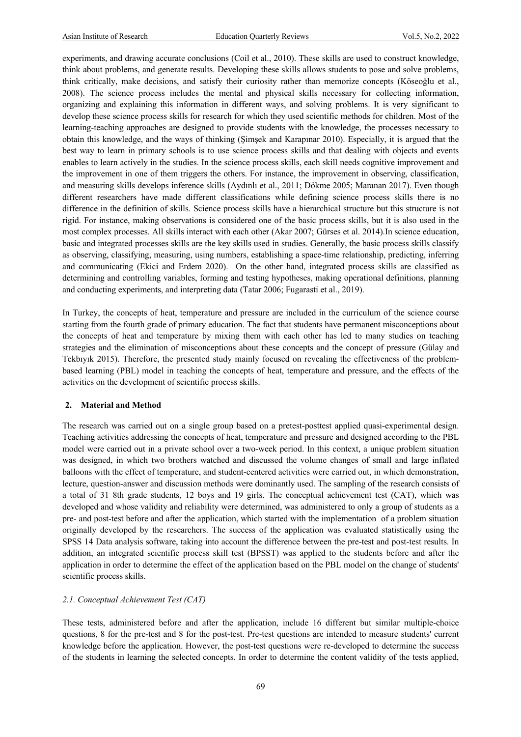experiments, and drawing accurate conclusions (Coil et al., 2010). These skills are used to construct knowledge, think about problems, and generate results. Developing these skills allows students to pose and solve problems, think critically, make decisions, and satisfy their curiosity rather than memorize concepts (Köseoğlu et al., 2008). The science process includes the mental and physical skills necessary for collecting information, organizing and explaining this information in different ways, and solving problems. It is very significant to develop these science process skills for research for which they used scientific methods for children. Most of the learning-teaching approaches are designed to provide students with the knowledge, the processes necessary to obtain this knowledge, and the ways of thinking (Şimşek and Karapınar 2010). Especially, it is argued that the best way to learn in primary schools is to use science process skills and that dealing with objects and events enables to learn actively in the studies. In the science process skills, each skill needs cognitive improvement and the improvement in one of them triggers the others. For instance, the improvement in observing, classification, and measuring skills develops inference skills (Aydınlı et al., 2011; Dökme 2005; Maranan 2017). Even though different researchers have made different classifications while defining science process skills there is no difference in the definition of skills. Science process skills have a hierarchical structure but this structure is not rigid. For instance, making observations is considered one of the basic process skills, but it is also used in the most complex processes. All skills interact with each other (Akar 2007; Gürses et al. 2014).In science education, basic and integrated processes skills are the key skills used in studies. Generally, the basic process skills classify as observing, classifying, measuring, using numbers, establishing a space-time relationship, predicting, inferring and communicating (Ekici and Erdem 2020). On the other hand, integrated process skills are classified as determining and controlling variables, forming and testing hypotheses, making operational definitions, planning and conducting experiments, and interpreting data (Tatar 2006; Fugarasti et al., 2019).

In Turkey, the concepts of heat, temperature and pressure are included in the curriculum of the science course starting from the fourth grade of primary education. The fact that students have permanent misconceptions about the concepts of heat and temperature by mixing them with each other has led to many studies on teaching strategies and the elimination of misconceptions about these concepts and the concept of pressure (Gülay and Tekbıyık 2015). Therefore, the presented study mainly focused on revealing the effectiveness of the problembased learning (PBL) model in teaching the concepts of heat, temperature and pressure, and the effects of the activities on the development of scientific process skills.

#### **2. Material and Method**

The research was carried out on a single group based on a pretest-posttest applied quasi-experimental design. Teaching activities addressing the concepts of heat, temperature and pressure and designed according to the PBL model were carried out in a private school over a two-week period. In this context, a unique problem situation was designed, in which two brothers watched and discussed the volume changes of small and large inflated balloons with the effect of temperature, and student-centered activities were carried out, in which demonstration, lecture, question-answer and discussion methods were dominantly used. The sampling of the research consists of a total of 31 8th grade students, 12 boys and 19 girls. The conceptual achievement test (CAT), which was developed and whose validity and reliability were determined, was administered to only a group of students as a pre- and post-test before and after the application, which started with the implementation of a problem situation originally developed by the researchers. The success of the application was evaluated statistically using the SPSS 14 Data analysis software, taking into account the difference between the pre-test and post-test results. In addition, an integrated scientific process skill test (BPSST) was applied to the students before and after the application in order to determine the effect of the application based on the PBL model on the change of students' scientific process skills.

### *2.1. Conceptual Achievement Test (CAT)*

These tests, administered before and after the application, include 16 different but similar multiple-choice questions, 8 for the pre-test and 8 for the post-test. Pre-test questions are intended to measure students' current knowledge before the application. However, the post-test questions were re-developed to determine the success of the students in learning the selected concepts. In order to determine the content validity of the tests applied,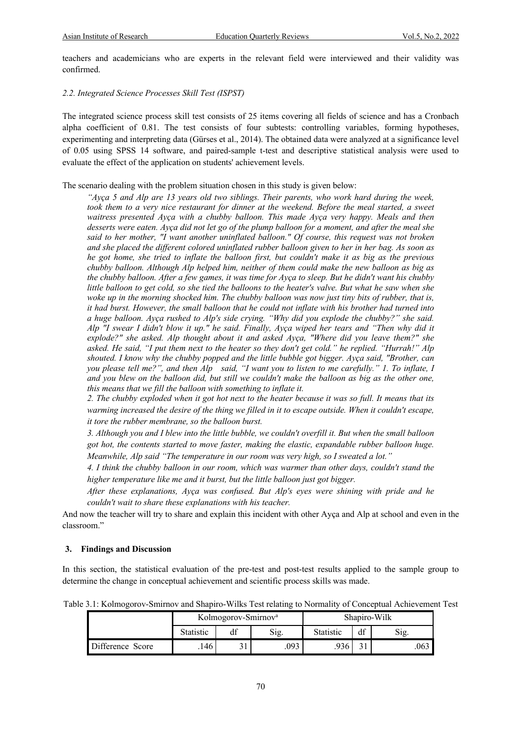teachers and academicians who are experts in the relevant field were interviewed and their validity was confirmed.

#### *2.2. Integrated Science Processes Skill Test (ISPST)*

The integrated science process skill test consists of 25 items covering all fields of science and has a Cronbach alpha coefficient of 0.81. The test consists of four subtests: controlling variables, forming hypotheses, experimenting and interpreting data (Gürses et al., 2014). The obtained data were analyzed at a significance level of 0.05 using SPSS 14 software, and paired-sample t-test and descriptive statistical analysis were used to evaluate the effect of the application on students' achievement levels.

The scenario dealing with the problem situation chosen in this study is given below:

*"Ayça 5 and Alp are 13 years old two siblings. Their parents, who work hard during the week,*  took them to a very nice restaurant for dinner at the weekend. Before the meal started, a sweet *waitress presented Ayça with a chubby balloon. This made Ayça very happy. Meals and then desserts were eaten. Ayça did not let go of the plump balloon for a moment, and after the meal she said to her mother, "I want another uninflated balloon." Of course, this request was not broken and she placed the different colored uninflated rubber balloon given to her in her bag. As soon as he got home, she tried to inflate the balloon first, but couldn't make it as big as the previous chubby balloon. Although Alp helped him, neither of them could make the new balloon as big as the chubby balloon. After a few games, it was time for Ayça to sleep. But he didn't want his chubby little balloon to get cold, so she tied the balloons to the heater's valve. But what he saw when she woke up in the morning shocked him. The chubby balloon was now just tiny bits of rubber, that is, it had burst. However, the small balloon that he could not inflate with his brother had turned into a huge balloon. Ayça rushed to Alp's side crying. "Why did you explode the chubby?" she said. Alp "I swear I didn't blow it up." he said. Finally, Ayça wiped her tears and "Then why did it explode?" she asked. Alp thought about it and asked Ayça, "Where did you leave them?" she asked. He said, "I put them next to the heater so they don't get cold." he replied. "Hurrah!" Alp shouted. I know why the chubby popped and the little bubble got bigger. Ayça said, "Brother, can you please tell me?", and then Alp said, "I want you to listen to me carefully." 1. To inflate, I and you blew on the balloon did, but still we couldn't make the balloon as big as the other one, this means that we fill the balloon with something to inflate it.*

*2. The chubby exploded when it got hot next to the heater because it was so full. It means that its warming increased the desire of the thing we filled in it to escape outside. When it couldn't escape, it tore the rubber membrane, so the balloon burst.*

*3. Although you and I blew into the little bubble, we couldn't overfill it. But when the small balloon got hot, the contents started to move faster, making the elastic, expandable rubber balloon huge. Meanwhile, Alp said "The temperature in our room was very high, so I sweated a lot."* 

*4. I think the chubby balloon in our room, which was warmer than other days, couldn't stand the higher temperature like me and it burst, but the little balloon just got bigger.*

*After these explanations, Ayça was confused. But Alp's eyes were shining with pride and he couldn't wait to share these explanations with his teacher.* 

And now the teacher will try to share and explain this incident with other Ayça and Alp at school and even in the classroom."

#### **3. Findings and Discussion**

In this section, the statistical evaluation of the pre-test and post-test results applied to the sample group to determine the change in conceptual achievement and scientific process skills was made.

Table 3.1: Kolmogorov-Smirnov and Shapiro-Wilks Test relating to Normality of Conceptual Achievement Test

|                  | Kolmogorov-Smirnov <sup>a</sup> |    |      | Shapiro-Wilk    |  |      |  |
|------------------|---------------------------------|----|------|-----------------|--|------|--|
|                  | Statistic                       | df | Sig. | df<br>Statistic |  | S12. |  |
| Difference Score | $.146$ <sup>1</sup>             |    | .093 | .936            |  | .063 |  |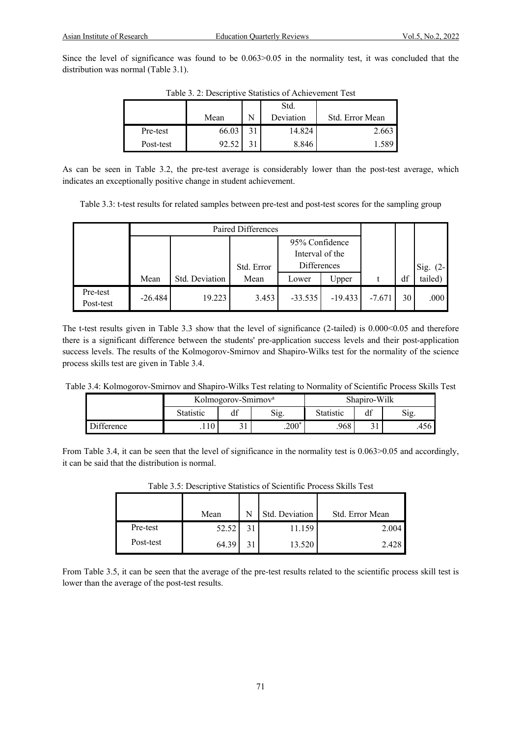Since the level of significance was found to be 0.063>0.05 in the normality test, it was concluded that the distribution was normal (Table 3.1).

|           | Mean  | N | Std.<br>Deviation | Std. Error Mean |  |  |
|-----------|-------|---|-------------------|-----------------|--|--|
| Pre-test  | 66.03 |   | 14.824            | 2.663           |  |  |
| Post-test |       |   | 8.846             |                 |  |  |

Table 3. 2: Descriptive Statistics of Achievement Test

As can be seen in Table 3.2, the pre-test average is considerably lower than the post-test average, which indicates an exceptionally positive change in student achievement.

Table 3.3: t-test results for related samples between pre-test and post-test scores for the sampling group

|                       |           | Paired Differences |            |                                   |           |          |    |            |
|-----------------------|-----------|--------------------|------------|-----------------------------------|-----------|----------|----|------------|
|                       |           |                    |            | 95% Confidence<br>Interval of the |           |          |    |            |
|                       |           |                    | Std. Error | <b>Differences</b>                |           |          |    | Sig. $(2-$ |
|                       | Mean      | Std. Deviation     | Mean       | Lower                             | Upper     |          | df | tailed)    |
| Pre-test<br>Post-test | $-26.484$ | 19.223             | 3.453      | $-33.535$                         | $-19.433$ | $-7.671$ | 30 | .000       |

The t-test results given in Table 3.3 show that the level of significance (2-tailed) is 0.000<0.05 and therefore there is a significant difference between the students' pre-application success levels and their post-application success levels. The results of the Kolmogorov-Smirnov and Shapiro-Wilks test for the normality of the science process skills test are given in Table 3.4.

Table 3.4: Kolmogorov-Smirnov and Shapiro-Wilks Test relating to Normality of Scientific Process Skills Test

|                   | Kolmogorov-Smirnov <sup>a</sup> |     | Shapiro-Wilk |           |      |       |
|-------------------|---------------------------------|-----|--------------|-----------|------|-------|
|                   | Statistic                       | df  | Sig.         | Statistic | Sig. |       |
| <b>Difference</b> | .110                            | J 1 | $.200*$      | .968      |      | .4561 |

From Table 3.4, it can be seen that the level of significance in the normality test is  $0.063 > 0.05$  and accordingly, it can be said that the distribution is normal.

|           | Mean  |    | Std. Deviation | Std. Error Mean |
|-----------|-------|----|----------------|-----------------|
| Pre-test  | 52.52 | 31 | 11.159         | 2.004           |
| Post-test | 64.39 | 31 | 13.520         | 2.428           |

Table 3.5: Descriptive Statistics of Scientific Process Skills Test

From Table 3.5, it can be seen that the average of the pre-test results related to the scientific process skill test is lower than the average of the post-test results.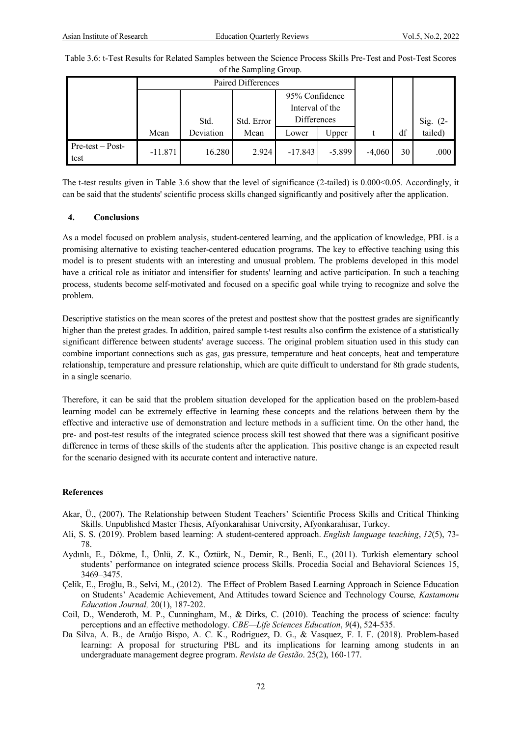| Table 3.6: t-Test Results for Related Samples between the Science Process Skills Pre-Test and Post-Test Scores |
|----------------------------------------------------------------------------------------------------------------|
| of the Sampling Group.                                                                                         |

|                            |           | Paired Differences |            |                 |          |          |    |          |
|----------------------------|-----------|--------------------|------------|-----------------|----------|----------|----|----------|
|                            |           | 95% Confidence     |            |                 |          |          |    |          |
|                            |           |                    |            | Interval of the |          |          |    |          |
|                            |           | Std.               | Std. Error | Differences     |          |          |    | Sig. (2- |
|                            | Mean      | Deviation          | Mean       | Lower           | Upper    |          | df | tailed)  |
| $Pre-test - Post-$<br>test | $-11.871$ | 16.280             | 2.924      | $-17.843$       | $-5.899$ | $-4,060$ | 30 | .000     |

The t-test results given in Table 3.6 show that the level of significance (2-tailed) is 0.000<0.05. Accordingly, it can be said that the students' scientific process skills changed significantly and positively after the application.

# **4. Conclusions**

As a model focused on problem analysis, student-centered learning, and the application of knowledge, PBL is a promising alternative to existing teacher-centered education programs. The key to effective teaching using this model is to present students with an interesting and unusual problem. The problems developed in this model have a critical role as initiator and intensifier for students' learning and active participation. In such a teaching process, students become self-motivated and focused on a specific goal while trying to recognize and solve the problem.

Descriptive statistics on the mean scores of the pretest and posttest show that the posttest grades are significantly higher than the pretest grades. In addition, paired sample t-test results also confirm the existence of a statistically significant difference between students' average success. The original problem situation used in this study can combine important connections such as gas, gas pressure, temperature and heat concepts, heat and temperature relationship, temperature and pressure relationship, which are quite difficult to understand for 8th grade students, in a single scenario.

Therefore, it can be said that the problem situation developed for the application based on the problem-based learning model can be extremely effective in learning these concepts and the relations between them by the effective and interactive use of demonstration and lecture methods in a sufficient time. On the other hand, the pre- and post-test results of the integrated science process skill test showed that there was a significant positive difference in terms of these skills of the students after the application. This positive change is an expected result for the scenario designed with its accurate content and interactive nature.

# **References**

- Akar, Ü., (2007). The Relationship between Student Teachers' Scientific Process Skills and Critical Thinking Skills. Unpublished Master Thesis, Afyonkarahisar University, Afyonkarahisar, Turkey.
- Ali, S. S. (2019). Problem based learning: A student-centered approach. *English language teaching*, *12*(5), 73- 78.
- Aydınlı, E., Dökme, İ., Ünlü, Z. K., Öztürk, N., Demir, R., Benli, E., (2011). Turkish elementary school students' performance on integrated science process Skills. Procedia Social and Behavioral Sciences 15, 3469–3475.
- Çelik, E., Eroğlu, B., Selvi, M., (2012). The Effect of Problem Based Learning Approach in Science Education on Students' Academic Achievement, And Attitudes toward Science and Technology Course*, Kastamonu Education Journal,* 20(1), 187-202.
- Coil, D., Wenderoth, M. P., Cunningham, M., & Dirks, C. (2010). Teaching the process of science: faculty perceptions and an effective methodology. *CBE—Life Sciences Education*, *9*(4), 524-535.
- Da Silva, A. B., de Araújo Bispo, A. C. K., Rodriguez, D. G., & Vasquez, F. I. F. (2018). Problem-based learning: A proposal for structuring PBL and its implications for learning among students in an undergraduate management degree program. *Revista de Gestão*. 25(2), 160-177.